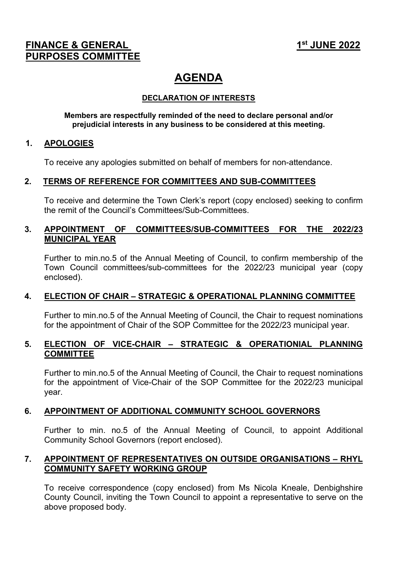# **FINANCE & GENERAL 1st 100 and 1st 100 and 1st 100 and 1st 100 and 1st 100 and 1st 100 and 1st 100 and 1st 100 and 1st 100 and 1st 100 and 1st 100 and 1st 100 and 1st 100 and 1st 100 and 1st 100 and 1st 100 and 1st 100 and PURPOSES COMMITTEE**

# **AGENDA**

# **DECLARATION OF INTERESTS**

#### **Members are respectfully reminded of the need to declare personal and/or prejudicial interests in any business to be considered at this meeting.**

#### **1. APOLOGIES**

To receive any apologies submitted on behalf of members for non-attendance.

# **2. TERMS OF REFERENCE FOR COMMITTEES AND SUB-COMMITTEES**

To receive and determine the Town Clerk's report (copy enclosed) seeking to confirm the remit of the Council's Committees/Sub-Committees.

### **3. APPOINTMENT OF COMMITTEES/SUB-COMMITTEES FOR THE 2022/23 MUNICIPAL YEAR**

Further to min.no.5 of the Annual Meeting of Council, to confirm membership of the Town Council committees/sub-committees for the 2022/23 municipal year (copy enclosed).

#### **4. ELECTION OF CHAIR – STRATEGIC & OPERATIONAL PLANNING COMMITTEE**

Further to min.no.5 of the Annual Meeting of Council, the Chair to request nominations for the appointment of Chair of the SOP Committee for the 2022/23 municipal year.

# **5. ELECTION OF VICE-CHAIR – STRATEGIC & OPERATIONIAL PLANNING COMMITTEE**

Further to min.no.5 of the Annual Meeting of Council, the Chair to request nominations for the appointment of Vice-Chair of the SOP Committee for the 2022/23 municipal year.

# **6. APPOINTMENT OF ADDITIONAL COMMUNITY SCHOOL GOVERNORS**

Further to min. no.5 of the Annual Meeting of Council, to appoint Additional Community School Governors (report enclosed).

#### **7. APPOINTMENT OF REPRESENTATIVES ON OUTSIDE ORGANISATIONS – RHYL COMMUNITY SAFETY WORKING GROUP**

To receive correspondence (copy enclosed) from Ms Nicola Kneale, Denbighshire County Council, inviting the Town Council to appoint a representative to serve on the above proposed body.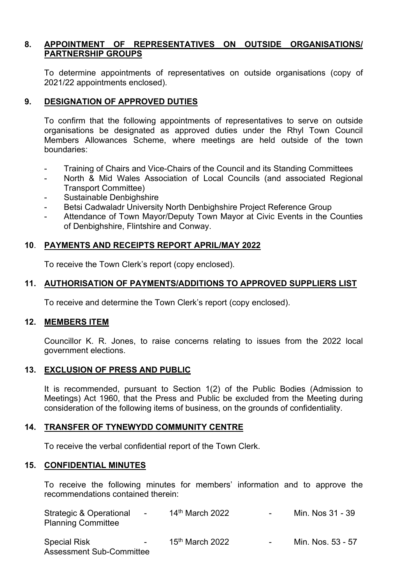# **8. APPOINTMENT OF REPRESENTATIVES ON OUTSIDE ORGANISATIONS/ PARTNERSHIP GROUPS**

To determine appointments of representatives on outside organisations (copy of 2021/22 appointments enclosed).

#### **9. DESIGNATION OF APPROVED DUTIES**

To confirm that the following appointments of representatives to serve on outside organisations be designated as approved duties under the Rhyl Town Council Members Allowances Scheme, where meetings are held outside of the town boundaries:

- Training of Chairs and Vice-Chairs of the Council and its Standing Committees
- North & Mid Wales Association of Local Councils (and associated Regional Transport Committee)
- Sustainable Denbighshire
- Betsi Cadwaladr University North Denbighshire Project Reference Group
- Attendance of Town Mayor/Deputy Town Mayor at Civic Events in the Counties of Denbighshire, Flintshire and Conway.

#### **10**. **PAYMENTS AND RECEIPTS REPORT APRIL/MAY 2022**

To receive the Town Clerk's report (copy enclosed).

#### **11. AUTHORISATION OF PAYMENTS/ADDITIONS TO APPROVED SUPPLIERS LIST**

To receive and determine the Town Clerk's report (copy enclosed).

#### **12. MEMBERS ITEM**

Councillor K. R. Jones, to raise concerns relating to issues from the 2022 local government elections.

#### **13. EXCLUSION OF PRESS AND PUBLIC**

It is recommended, pursuant to Section 1(2) of the Public Bodies (Admission to Meetings) Act 1960, that the Press and Public be excluded from the Meeting during consideration of the following items of business, on the grounds of confidentiality.

#### **14. TRANSFER OF TYNEWYDD COMMUNITY CENTRE**

To receive the verbal confidential report of the Town Clerk.

#### **15. CONFIDENTIAL MINUTES**

To receive the following minutes for members' information and to approve the recommendations contained therein:

| Strategic & Operational<br>$\sim$<br><b>Planning Committee</b>   | 14 <sup>th</sup> March 2022 | $\overline{\phantom{0}}$ | Min. Nos 31 - 39  |
|------------------------------------------------------------------|-----------------------------|--------------------------|-------------------|
| <b>Special Risk</b><br>$\sim$<br><b>Assessment Sub-Committee</b> | 15 <sup>th</sup> March 2022 | $\overline{\phantom{a}}$ | Min. Nos. 53 - 57 |